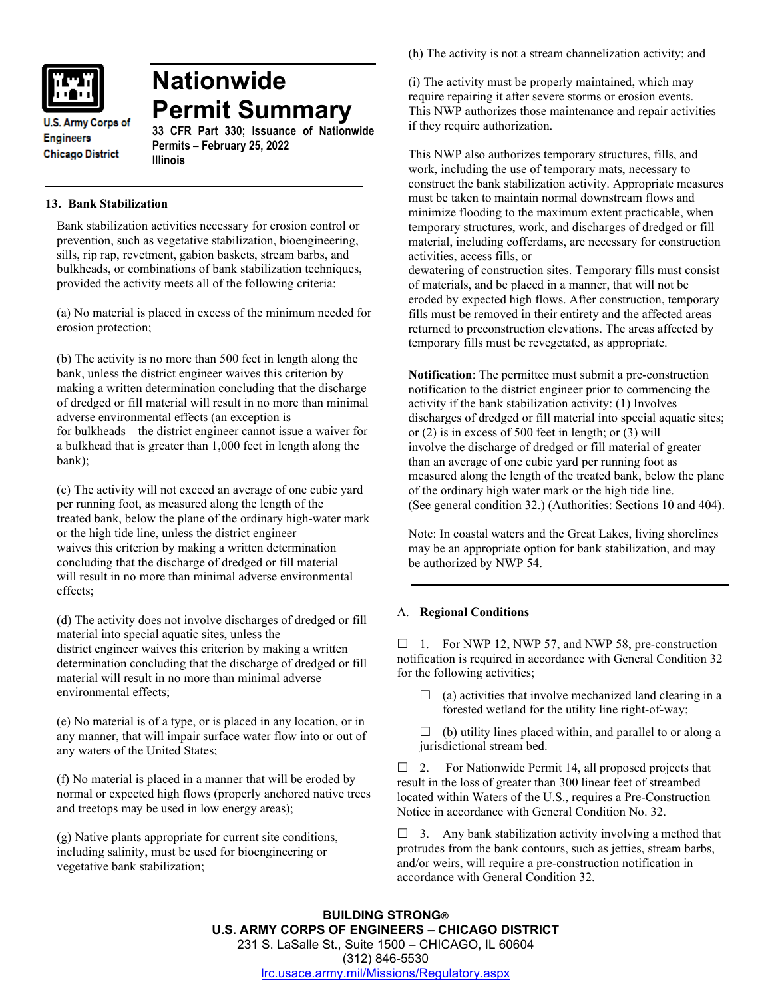(h) The activity is not a stream channelization activity; and



# **Nationwide Permit Summary**

**U.S. Army Corps of Engineers Chicago District** 

**33 CFR Part 330; Issuance of Nationwide Permits – February 25, 2022 Illinois**

# **13. Bank Stabilization**

Bank stabilization activities necessary for erosion control or prevention, such as vegetative stabilization, bioengineering, sills, rip rap, revetment, gabion baskets, stream barbs, and bulkheads, or combinations of bank stabilization techniques, provided the activity meets all of the following criteria:

(a) No material is placed in excess of the minimum needed for erosion protection;

(b) The activity is no more than 500 feet in length along the bank, unless the district engineer waives this criterion by making a written determination concluding that the discharge of dredged or fill material will result in no more than minimal adverse environmental effects (an exception is for bulkheads—the district engineer cannot issue a waiver for a bulkhead that is greater than 1,000 feet in length along the bank);

(c) The activity will not exceed an average of one cubic yard per running foot, as measured along the length of the treated bank, below the plane of the ordinary high-water mark or the high tide line, unless the district engineer waives this criterion by making a written determination concluding that the discharge of dredged or fill material will result in no more than minimal adverse environmental effects;

(d) The activity does not involve discharges of dredged or fill material into special aquatic sites, unless the district engineer waives this criterion by making a written determination concluding that the discharge of dredged or fill material will result in no more than minimal adverse environmental effects;

(e) No material is of a type, or is placed in any location, or in any manner, that will impair surface water flow into or out of any waters of the United States;

(f) No material is placed in a manner that will be eroded by normal or expected high flows (properly anchored native trees and treetops may be used in low energy areas);

(g) Native plants appropriate for current site conditions, including salinity, must be used for bioengineering or vegetative bank stabilization;

(i) The activity must be properly maintained, which may require repairing it after severe storms or erosion events. This NWP authorizes those maintenance and repair activities if they require authorization.

This NWP also authorizes temporary structures, fills, and work, including the use of temporary mats, necessary to construct the bank stabilization activity. Appropriate measures must be taken to maintain normal downstream flows and minimize flooding to the maximum extent practicable, when temporary structures, work, and discharges of dredged or fill material, including cofferdams, are necessary for construction activities, access fills, or

dewatering of construction sites. Temporary fills must consist of materials, and be placed in a manner, that will not be eroded by expected high flows. After construction, temporary fills must be removed in their entirety and the affected areas returned to preconstruction elevations. The areas affected by temporary fills must be revegetated, as appropriate.

**Notification**: The permittee must submit a pre-construction notification to the district engineer prior to commencing the activity if the bank stabilization activity: (1) Involves discharges of dredged or fill material into special aquatic sites; or (2) is in excess of 500 feet in length; or (3) will involve the discharge of dredged or fill material of greater than an average of one cubic yard per running foot as measured along the length of the treated bank, below the plane of the ordinary high water mark or the high tide line. (See general condition 32.) (Authorities: Sections 10 and 404).

Note: In coastal waters and the Great Lakes, living shorelines may be an appropriate option for bank stabilization, and may be authorized by NWP 54.

# A. **Regional Conditions**

 $\Box$  1. For NWP 12, NWP 57, and NWP 58, pre-construction notification is required in accordance with General Condition 32 for the following activities;

 $\Box$  (a) activities that involve mechanized land clearing in a forested wetland for the utility line right-of-way;

 $\Box$  (b) utility lines placed within, and parallel to or along a jurisdictional stream bed.

 $\Box$  2. For Nationwide Permit 14, all proposed projects that result in the loss of greater than 300 linear feet of streambed located within Waters of the U.S., requires a Pre-Construction Notice in accordance with General Condition No. 32.

 $\Box$  3. Any bank stabilization activity involving a method that protrudes from the bank contours, such as jetties, stream barbs, and/or weirs, will require a pre-construction notification in accordance with General Condition 32.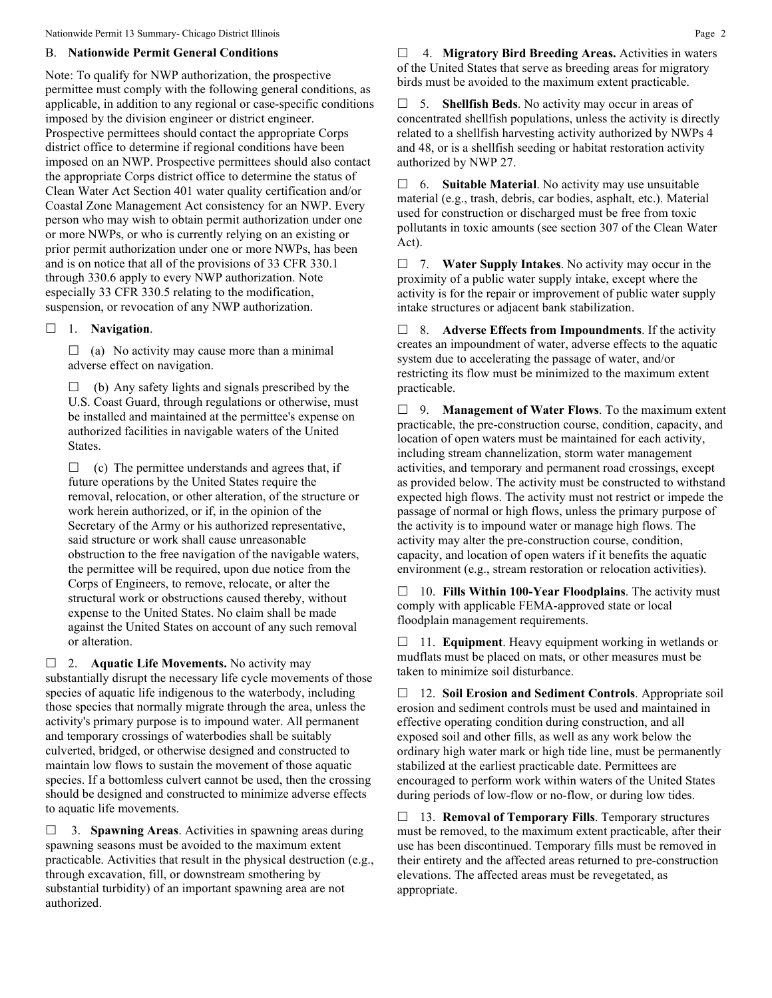## B. **Nationwide Permit General Conditions**

Note: To qualify for NWP authorization, the prospective permittee must comply with the following general conditions, as applicable, in addition to any regional or case-specific conditions imposed by the division engineer or district engineer. Prospective permittees should contact the appropriate Corps district office to determine if regional conditions have been imposed on an NWP. Prospective permittees should also contact the appropriate Corps district office to determine the status of Clean Water Act Section 401 water quality certification and/or Coastal Zone Management Act consistency for an NWP. Every person who may wish to obtain permit authorization under one or more NWPs, or who is currently relying on an existing or prior permit authorization under one or more NWPs, has been and is on notice that all of the provisions of 33 CFR 330.1 through 330.6 apply to every NWP authorization. Note especially 33 CFR 330.5 relating to the modification, suspension, or revocation of any NWP authorization.

# 1. **Navigation**.

 $\Box$  (a) No activity may cause more than a minimal adverse effect on navigation.

 $\Box$  (b) Any safety lights and signals prescribed by the U.S. Coast Guard, through regulations or otherwise, must be installed and maintained at the permittee's expense on authorized facilities in navigable waters of the United States.

 $\Box$  (c) The permittee understands and agrees that, if future operations by the United States require the removal, relocation, or other alteration, of the structure or work herein authorized, or if, in the opinion of the Secretary of the Army or his authorized representative, said structure or work shall cause unreasonable obstruction to the free navigation of the navigable waters, the permittee will be required, upon due notice from the Corps of Engineers, to remove, relocate, or alter the structural work or obstructions caused thereby, without expense to the United States. No claim shall be made against the United States on account of any such removal or alteration.

□ 2. **Aquatic Life Movements.** No activity may substantially disrupt the necessary life cycle movements of those species of aquatic life indigenous to the waterbody, including those species that normally migrate through the area, unless the activity's primary purpose is to impound water. All permanent and temporary crossings of waterbodies shall be suitably culverted, bridged, or otherwise designed and constructed to maintain low flows to sustain the movement of those aquatic species. If a bottomless culvert cannot be used, then the crossing should be designed and constructed to minimize adverse effects to aquatic life movements.

 3. **Spawning Areas**. Activities in spawning areas during spawning seasons must be avoided to the maximum extent practicable. Activities that result in the physical destruction (e.g., through excavation, fill, or downstream smothering by substantial turbidity) of an important spawning area are not authorized.

 4. **Migratory Bird Breeding Areas.** Activities in waters of the United States that serve as breeding areas for migratory birds must be avoided to the maximum extent practicable.

 5. **Shellfish Beds**. No activity may occur in areas of concentrated shellfish populations, unless the activity is directly related to a shellfish harvesting activity authorized by NWPs 4 and 48, or is a shellfish seeding or habitat restoration activity authorized by NWP 27.

 6. **Suitable Material**. No activity may use unsuitable material (e.g., trash, debris, car bodies, asphalt, etc.). Material used for construction or discharged must be free from toxic pollutants in toxic amounts (see section 307 of the Clean Water Act).

 7. **Water Supply Intakes**. No activity may occur in the proximity of a public water supply intake, except where the activity is for the repair or improvement of public water supply intake structures or adjacent bank stabilization.

 8. **Adverse Effects from Impoundments**. If the activity creates an impoundment of water, adverse effects to the aquatic system due to accelerating the passage of water, and/or restricting its flow must be minimized to the maximum extent practicable.

 9. **Management of Water Flows**. To the maximum extent practicable, the pre-construction course, condition, capacity, and location of open waters must be maintained for each activity, including stream channelization, storm water management activities, and temporary and permanent road crossings, except as provided below. The activity must be constructed to withstand expected high flows. The activity must not restrict or impede the passage of normal or high flows, unless the primary purpose of the activity is to impound water or manage high flows. The activity may alter the pre-construction course, condition, capacity, and location of open waters if it benefits the aquatic environment (e.g., stream restoration or relocation activities).

 10. **Fills Within 100-Year Floodplains**. The activity must comply with applicable FEMA-approved state or local floodplain management requirements.

□ 11. **Equipment**. Heavy equipment working in wetlands or mudflats must be placed on mats, or other measures must be taken to minimize soil disturbance.

 12. **Soil Erosion and Sediment Controls**. Appropriate soil erosion and sediment controls must be used and maintained in effective operating condition during construction, and all exposed soil and other fills, as well as any work below the ordinary high water mark or high tide line, must be permanently stabilized at the earliest practicable date. Permittees are encouraged to perform work within waters of the United States during periods of low-flow or no-flow, or during low tides.

 13. **Removal of Temporary Fills**. Temporary structures must be removed, to the maximum extent practicable, after their use has been discontinued. Temporary fills must be removed in their entirety and the affected areas returned to pre-construction elevations. The affected areas must be revegetated, as appropriate.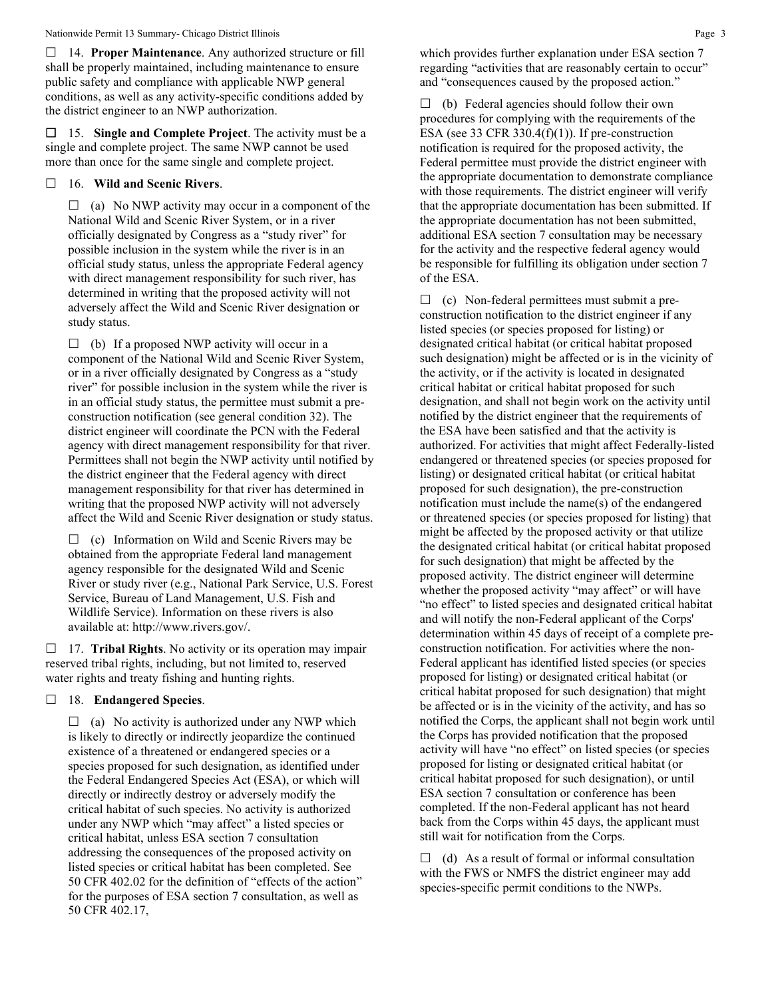14. **Proper Maintenance**. Any authorized structure or fill shall be properly maintained, including maintenance to ensure public safety and compliance with applicable NWP general conditions, as well as any activity-specific conditions added by the district engineer to an NWP authorization.

 15. **Single and Complete Project**. The activity must be a single and complete project. The same NWP cannot be used more than once for the same single and complete project.

# 16. **Wild and Scenic Rivers**.

 $\Box$  (a) No NWP activity may occur in a component of the National Wild and Scenic River System, or in a river officially designated by Congress as a "study river" for possible inclusion in the system while the river is in an official study status, unless the appropriate Federal agency with direct management responsibility for such river, has determined in writing that the proposed activity will not adversely affect the Wild and Scenic River designation or study status.

 $\Box$  (b) If a proposed NWP activity will occur in a component of the National Wild and Scenic River System, or in a river officially designated by Congress as a "study river" for possible inclusion in the system while the river is in an official study status, the permittee must submit a preconstruction notification (see general condition 32). The district engineer will coordinate the PCN with the Federal agency with direct management responsibility for that river. Permittees shall not begin the NWP activity until notified by the district engineer that the Federal agency with direct management responsibility for that river has determined in writing that the proposed NWP activity will not adversely affect the Wild and Scenic River designation or study status.

 $\Box$  (c) Information on Wild and Scenic Rivers may be obtained from the appropriate Federal land management agency responsible for the designated Wild and Scenic River or study river (e.g., National Park Service, U.S. Forest Service, Bureau of Land Management, U.S. Fish and Wildlife Service). Information on these rivers is also available at: http://www.rivers.gov/.

 17. **Tribal Rights**. No activity or its operation may impair reserved tribal rights, including, but not limited to, reserved water rights and treaty fishing and hunting rights.

## 18. **Endangered Species**.

 $\Box$  (a) No activity is authorized under any NWP which is likely to directly or indirectly jeopardize the continued existence of a threatened or endangered species or a species proposed for such designation, as identified under the Federal Endangered Species Act (ESA), or which will directly or indirectly destroy or adversely modify the critical habitat of such species. No activity is authorized under any NWP which "may affect" a listed species or critical habitat, unless ESA section 7 consultation addressing the consequences of the proposed activity on listed species or critical habitat has been completed. See 50 CFR 402.02 for the definition of "effects of the action" for the purposes of ESA section 7 consultation, as well as 50 CFR 402.17,

which provides further explanation under ESA section 7 regarding "activities that are reasonably certain to occur" and "consequences caused by the proposed action."

 $\Box$  (b) Federal agencies should follow their own procedures for complying with the requirements of the ESA (see 33 CFR 330.4(f)(1)). If pre-construction notification is required for the proposed activity, the Federal permittee must provide the district engineer with the appropriate documentation to demonstrate compliance with those requirements. The district engineer will verify that the appropriate documentation has been submitted. If the appropriate documentation has not been submitted, additional ESA section 7 consultation may be necessary for the activity and the respective federal agency would be responsible for fulfilling its obligation under section 7 of the ESA.

 $\Box$  (c) Non-federal permittees must submit a preconstruction notification to the district engineer if any listed species (or species proposed for listing) or designated critical habitat (or critical habitat proposed such designation) might be affected or is in the vicinity of the activity, or if the activity is located in designated critical habitat or critical habitat proposed for such designation, and shall not begin work on the activity until notified by the district engineer that the requirements of the ESA have been satisfied and that the activity is authorized. For activities that might affect Federally-listed endangered or threatened species (or species proposed for listing) or designated critical habitat (or critical habitat proposed for such designation), the pre-construction notification must include the name(s) of the endangered or threatened species (or species proposed for listing) that might be affected by the proposed activity or that utilize the designated critical habitat (or critical habitat proposed for such designation) that might be affected by the proposed activity. The district engineer will determine whether the proposed activity "may affect" or will have "no effect" to listed species and designated critical habitat and will notify the non-Federal applicant of the Corps' determination within 45 days of receipt of a complete preconstruction notification. For activities where the non-Federal applicant has identified listed species (or species proposed for listing) or designated critical habitat (or critical habitat proposed for such designation) that might be affected or is in the vicinity of the activity, and has so notified the Corps, the applicant shall not begin work until the Corps has provided notification that the proposed activity will have "no effect" on listed species (or species proposed for listing or designated critical habitat (or critical habitat proposed for such designation), or until ESA section 7 consultation or conference has been completed. If the non-Federal applicant has not heard back from the Corps within 45 days, the applicant must still wait for notification from the Corps.

 $\Box$  (d) As a result of formal or informal consultation with the FWS or NMFS the district engineer may add species-specific permit conditions to the NWPs.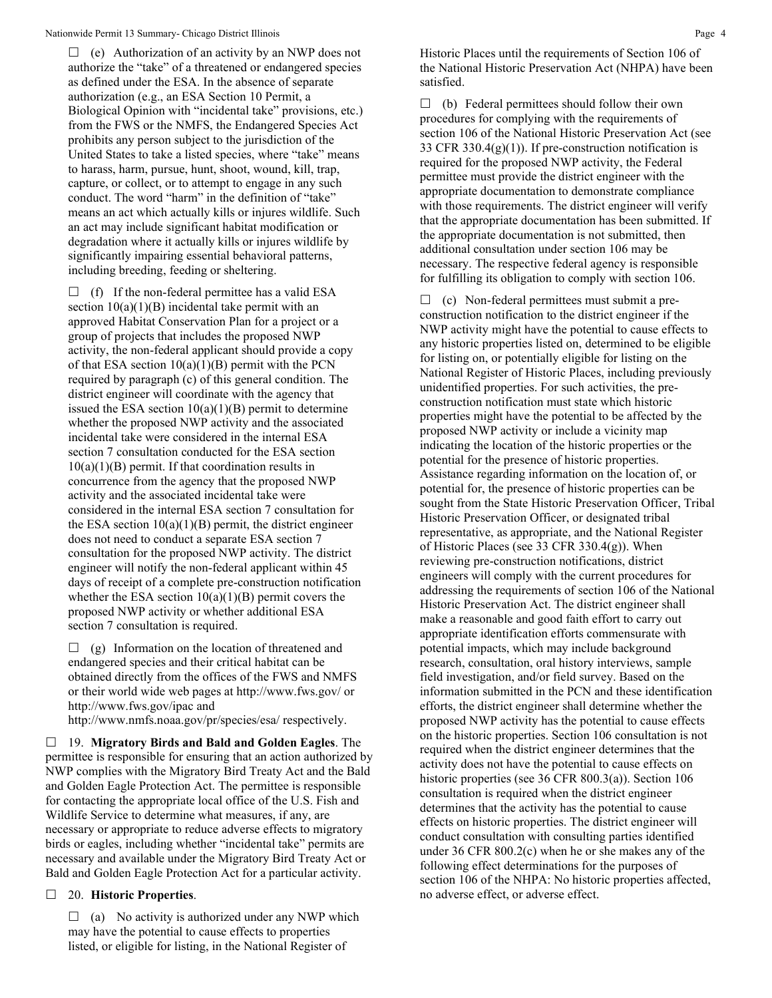$\Box$  (e) Authorization of an activity by an NWP does not authorize the "take" of a threatened or endangered species as defined under the ESA. In the absence of separate authorization (e.g., an ESA Section 10 Permit, a Biological Opinion with "incidental take" provisions, etc.) from the FWS or the NMFS, the Endangered Species Act prohibits any person subject to the jurisdiction of the United States to take a listed species, where "take" means to harass, harm, pursue, hunt, shoot, wound, kill, trap, capture, or collect, or to attempt to engage in any such conduct. The word "harm" in the definition of "take" means an act which actually kills or injures wildlife. Such an act may include significant habitat modification or degradation where it actually kills or injures wildlife by significantly impairing essential behavioral patterns, including breeding, feeding or sheltering.

 $\Box$  (f) If the non-federal permittee has a valid ESA section  $10(a)(1)(B)$  incidental take permit with an approved Habitat Conservation Plan for a project or a group of projects that includes the proposed NWP activity, the non-federal applicant should provide a copy of that ESA section  $10(a)(1)(B)$  permit with the PCN required by paragraph (c) of this general condition. The district engineer will coordinate with the agency that issued the ESA section  $10(a)(1)(B)$  permit to determine whether the proposed NWP activity and the associated incidental take were considered in the internal ESA section 7 consultation conducted for the ESA section  $10(a)(1)(B)$  permit. If that coordination results in concurrence from the agency that the proposed NWP activity and the associated incidental take were considered in the internal ESA section 7 consultation for the ESA section  $10(a)(1)(B)$  permit, the district engineer does not need to conduct a separate ESA section 7 consultation for the proposed NWP activity. The district engineer will notify the non-federal applicant within 45 days of receipt of a complete pre-construction notification whether the ESA section  $10(a)(1)(B)$  permit covers the proposed NWP activity or whether additional ESA section 7 consultation is required.

 $\Box$  (g) Information on the location of threatened and endangered species and their critical habitat can be obtained directly from the offices of the FWS and NMFS or their world wide web pages at http://www.fws.gov/ or http://www.fws.gov/ipac and

http://www.nmfs.noaa.gov/pr/species/esa/ respectively.

 19. **Migratory Birds and Bald and Golden Eagles**. The permittee is responsible for ensuring that an action authorized by NWP complies with the Migratory Bird Treaty Act and the Bald and Golden Eagle Protection Act. The permittee is responsible for contacting the appropriate local office of the U.S. Fish and Wildlife Service to determine what measures, if any, are necessary or appropriate to reduce adverse effects to migratory birds or eagles, including whether "incidental take" permits are necessary and available under the Migratory Bird Treaty Act or Bald and Golden Eagle Protection Act for a particular activity.

# 20. **Historic Properties**.

 $\Box$  (a) No activity is authorized under any NWP which may have the potential to cause effects to properties listed, or eligible for listing, in the National Register of

Historic Places until the requirements of Section 106 of the National Historic Preservation Act (NHPA) have been satisfied.

 $\Box$  (b) Federal permittees should follow their own procedures for complying with the requirements of section 106 of the National Historic Preservation Act (see 33 CFR 330.4(g)(1)). If pre-construction notification is required for the proposed NWP activity, the Federal permittee must provide the district engineer with the appropriate documentation to demonstrate compliance with those requirements. The district engineer will verify that the appropriate documentation has been submitted. If the appropriate documentation is not submitted, then additional consultation under section 106 may be necessary. The respective federal agency is responsible for fulfilling its obligation to comply with section 106.

 $\Box$  (c) Non-federal permittees must submit a preconstruction notification to the district engineer if the NWP activity might have the potential to cause effects to any historic properties listed on, determined to be eligible for listing on, or potentially eligible for listing on the National Register of Historic Places, including previously unidentified properties. For such activities, the preconstruction notification must state which historic properties might have the potential to be affected by the proposed NWP activity or include a vicinity map indicating the location of the historic properties or the potential for the presence of historic properties. Assistance regarding information on the location of, or potential for, the presence of historic properties can be sought from the State Historic Preservation Officer, Tribal Historic Preservation Officer, or designated tribal representative, as appropriate, and the National Register of Historic Places (see 33 CFR 330.4(g)). When reviewing pre-construction notifications, district engineers will comply with the current procedures for addressing the requirements of section 106 of the National Historic Preservation Act. The district engineer shall make a reasonable and good faith effort to carry out appropriate identification efforts commensurate with potential impacts, which may include background research, consultation, oral history interviews, sample field investigation, and/or field survey. Based on the information submitted in the PCN and these identification efforts, the district engineer shall determine whether the proposed NWP activity has the potential to cause effects on the historic properties. Section 106 consultation is not required when the district engineer determines that the activity does not have the potential to cause effects on historic properties (see 36 CFR 800.3(a)). Section 106 consultation is required when the district engineer determines that the activity has the potential to cause effects on historic properties. The district engineer will conduct consultation with consulting parties identified under 36 CFR 800.2(c) when he or she makes any of the following effect determinations for the purposes of section 106 of the NHPA: No historic properties affected, no adverse effect, or adverse effect.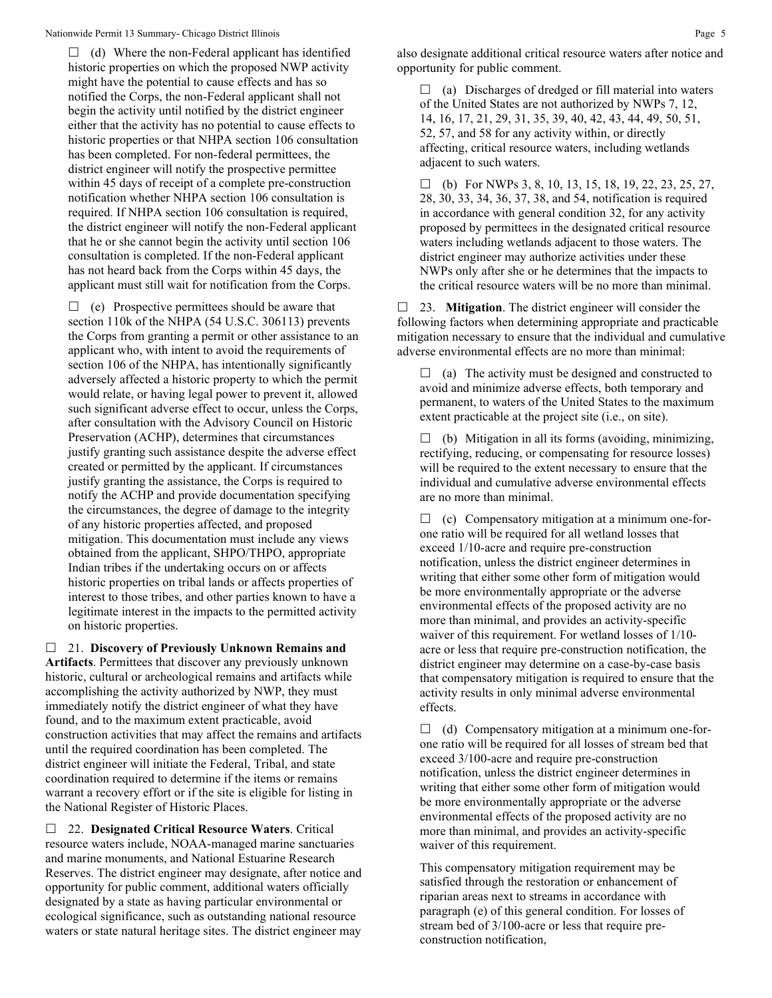$\Box$  (d) Where the non-Federal applicant has identified historic properties on which the proposed NWP activity might have the potential to cause effects and has so notified the Corps, the non-Federal applicant shall not begin the activity until notified by the district engineer either that the activity has no potential to cause effects to historic properties or that NHPA section 106 consultation has been completed. For non-federal permittees, the district engineer will notify the prospective permittee within 45 days of receipt of a complete pre-construction notification whether NHPA section 106 consultation is required. If NHPA section 106 consultation is required, the district engineer will notify the non-Federal applicant that he or she cannot begin the activity until section 106 consultation is completed. If the non-Federal applicant has not heard back from the Corps within 45 days, the applicant must still wait for notification from the Corps.

 $\Box$  (e) Prospective permittees should be aware that section 110k of the NHPA (54 U.S.C. 306113) prevents the Corps from granting a permit or other assistance to an applicant who, with intent to avoid the requirements of section 106 of the NHPA, has intentionally significantly adversely affected a historic property to which the permit would relate, or having legal power to prevent it, allowed such significant adverse effect to occur, unless the Corps, after consultation with the Advisory Council on Historic Preservation (ACHP), determines that circumstances justify granting such assistance despite the adverse effect created or permitted by the applicant. If circumstances justify granting the assistance, the Corps is required to notify the ACHP and provide documentation specifying the circumstances, the degree of damage to the integrity of any historic properties affected, and proposed mitigation. This documentation must include any views obtained from the applicant, SHPO/THPO, appropriate Indian tribes if the undertaking occurs on or affects historic properties on tribal lands or affects properties of interest to those tribes, and other parties known to have a legitimate interest in the impacts to the permitted activity on historic properties.

 21. **Discovery of Previously Unknown Remains and Artifacts**. Permittees that discover any previously unknown historic, cultural or archeological remains and artifacts while accomplishing the activity authorized by NWP, they must immediately notify the district engineer of what they have found, and to the maximum extent practicable, avoid construction activities that may affect the remains and artifacts until the required coordination has been completed. The district engineer will initiate the Federal, Tribal, and state coordination required to determine if the items or remains warrant a recovery effort or if the site is eligible for listing in the National Register of Historic Places.

 22. **Designated Critical Resource Waters**. Critical resource waters include, NOAA-managed marine sanctuaries and marine monuments, and National Estuarine Research Reserves. The district engineer may designate, after notice and opportunity for public comment, additional waters officially designated by a state as having particular environmental or ecological significance, such as outstanding national resource waters or state natural heritage sites. The district engineer may

 $\Box$  (a) Discharges of dredged or fill material into waters of the United States are not authorized by NWPs 7, 12, 14, 16, 17, 21, 29, 31, 35, 39, 40, 42, 43, 44, 49, 50, 51, 52, 57, and 58 for any activity within, or directly affecting, critical resource waters, including wetlands adjacent to such waters.

 $\Box$  (b) For NWPs 3, 8, 10, 13, 15, 18, 19, 22, 23, 25, 27, 28, 30, 33, 34, 36, 37, 38, and 54, notification is required in accordance with general condition 32, for any activity proposed by permittees in the designated critical resource waters including wetlands adjacent to those waters. The district engineer may authorize activities under these NWPs only after she or he determines that the impacts to the critical resource waters will be no more than minimal.

 23. **Mitigation**. The district engineer will consider the following factors when determining appropriate and practicable mitigation necessary to ensure that the individual and cumulative adverse environmental effects are no more than minimal:

 $\Box$  (a) The activity must be designed and constructed to avoid and minimize adverse effects, both temporary and permanent, to waters of the United States to the maximum extent practicable at the project site (i.e., on site).

 $\Box$  (b) Mitigation in all its forms (avoiding, minimizing, rectifying, reducing, or compensating for resource losses) will be required to the extent necessary to ensure that the individual and cumulative adverse environmental effects are no more than minimal.

 $\Box$  (c) Compensatory mitigation at a minimum one-forone ratio will be required for all wetland losses that exceed 1/10-acre and require pre-construction notification, unless the district engineer determines in writing that either some other form of mitigation would be more environmentally appropriate or the adverse environmental effects of the proposed activity are no more than minimal, and provides an activity-specific waiver of this requirement. For wetland losses of 1/10 acre or less that require pre-construction notification, the district engineer may determine on a case-by-case basis that compensatory mitigation is required to ensure that the activity results in only minimal adverse environmental effects.

 $\Box$  (d) Compensatory mitigation at a minimum one-forone ratio will be required for all losses of stream bed that exceed 3/100-acre and require pre-construction notification, unless the district engineer determines in writing that either some other form of mitigation would be more environmentally appropriate or the adverse environmental effects of the proposed activity are no more than minimal, and provides an activity-specific waiver of this requirement.

This compensatory mitigation requirement may be satisfied through the restoration or enhancement of riparian areas next to streams in accordance with paragraph (e) of this general condition. For losses of stream bed of 3/100-acre or less that require preconstruction notification,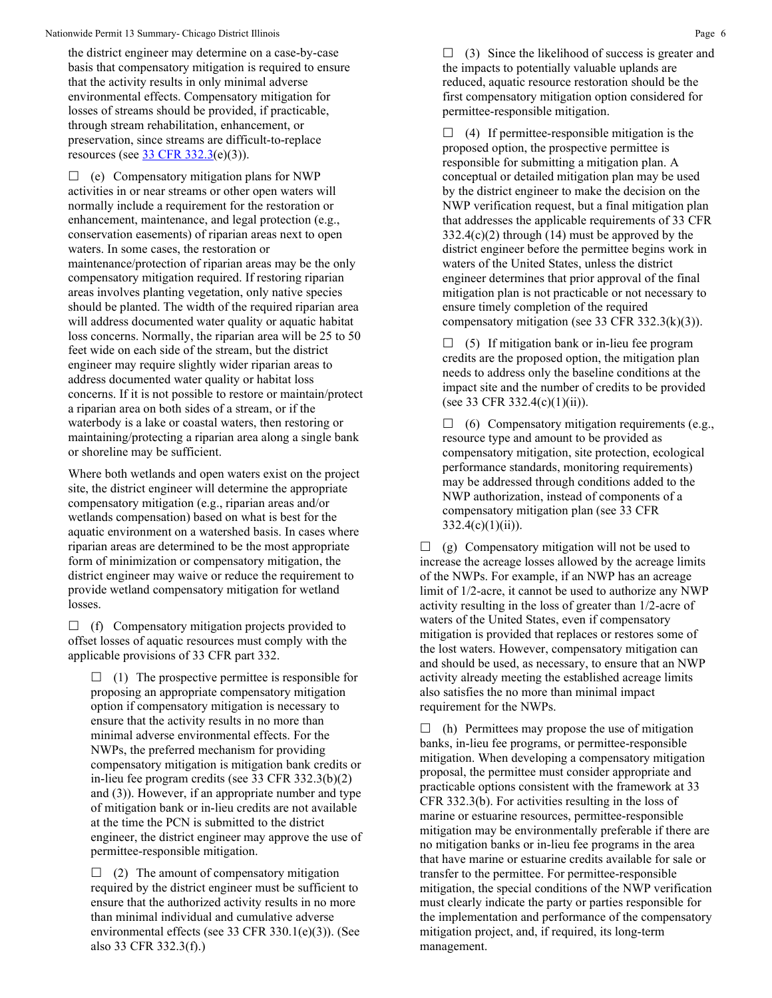the district engineer may determine on a case-by-case basis that compensatory mitigation is required to ensure that the activity results in only minimal adverse environmental effects. Compensatory mitigation for losses of streams should be provided, if practicable, through stream rehabilitation, enhancement, or preservation, since streams are difficult-to-replace resources (see  $33$  CFR 332.3(e)(3)).

 $\Box$  (e) Compensatory mitigation plans for NWP activities in or near streams or other open waters will normally include a requirement for the restoration or enhancement, maintenance, and legal protection (e.g., conservation easements) of riparian areas next to open waters. In some cases, the restoration or maintenance/protection of riparian areas may be the only compensatory mitigation required. If restoring riparian areas involves planting vegetation, only native species should be planted. The width of the required riparian area will address documented water quality or aquatic habitat loss concerns. Normally, the riparian area will be 25 to 50 feet wide on each side of the stream, but the district engineer may require slightly wider riparian areas to address documented water quality or habitat loss concerns. If it is not possible to restore or maintain/protect a riparian area on both sides of a stream, or if the waterbody is a lake or coastal waters, then restoring or maintaining/protecting a riparian area along a single bank or shoreline may be sufficient.

Where both wetlands and open waters exist on the project site, the district engineer will determine the appropriate compensatory mitigation (e.g., riparian areas and/or wetlands compensation) based on what is best for the aquatic environment on a watershed basis. In cases where riparian areas are determined to be the most appropriate form of minimization or compensatory mitigation, the district engineer may waive or reduce the requirement to provide wetland compensatory mitigation for wetland losses.

 $\Box$  (f) Compensatory mitigation projects provided to offset losses of aquatic resources must comply with the applicable provisions of 33 CFR part 332.

 $\Box$  (1) The prospective permittee is responsible for proposing an appropriate compensatory mitigation option if compensatory mitigation is necessary to ensure that the activity results in no more than minimal adverse environmental effects. For the NWPs, the preferred mechanism for providing compensatory mitigation is mitigation bank credits or in-lieu fee program credits (see 33 CFR 332.3(b)(2) and (3)). However, if an appropriate number and type of mitigation bank or in-lieu credits are not available at the time the PCN is submitted to the district engineer, the district engineer may approve the use of permittee-responsible mitigation.

 $\Box$  (2) The amount of compensatory mitigation required by the district engineer must be sufficient to ensure that the authorized activity results in no more than minimal individual and cumulative adverse environmental effects (see 33 CFR 330.1(e)(3)). (See also 33 CFR 332.3(f).)

 $\Box$  (3) Since the likelihood of success is greater and the impacts to potentially valuable uplands are reduced, aquatic resource restoration should be the first compensatory mitigation option considered for permittee-responsible mitigation.

 $\Box$  (4) If permittee-responsible mitigation is the proposed option, the prospective permittee is responsible for submitting a mitigation plan. A conceptual or detailed mitigation plan may be used by the district engineer to make the decision on the NWP verification request, but a final mitigation plan that addresses the applicable requirements of 33 CFR  $332.4(c)(2)$  through (14) must be approved by the district engineer before the permittee begins work in waters of the United States, unless the district engineer determines that prior approval of the final mitigation plan is not practicable or not necessary to ensure timely completion of the required compensatory mitigation (see 33 CFR  $332.3(k)(3)$ ).

 $\Box$  (5) If mitigation bank or in-lieu fee program credits are the proposed option, the mitigation plan needs to address only the baseline conditions at the impact site and the number of credits to be provided (see 33 CFR 332.4(c)(1)(ii)).

 $\Box$  (6) Compensatory mitigation requirements (e.g., resource type and amount to be provided as compensatory mitigation, site protection, ecological performance standards, monitoring requirements) may be addressed through conditions added to the NWP authorization, instead of components of a compensatory mitigation plan (see 33 CFR  $332.4(c)(1)(ii)$ ).

 $\Box$  (g) Compensatory mitigation will not be used to increase the acreage losses allowed by the acreage limits of the NWPs. For example, if an NWP has an acreage limit of 1/2-acre, it cannot be used to authorize any NWP activity resulting in the loss of greater than 1/2-acre of waters of the United States, even if compensatory mitigation is provided that replaces or restores some of the lost waters. However, compensatory mitigation can and should be used, as necessary, to ensure that an NWP activity already meeting the established acreage limits also satisfies the no more than minimal impact requirement for the NWPs.

 $\Box$  (h) Permittees may propose the use of mitigation banks, in-lieu fee programs, or permittee-responsible mitigation. When developing a compensatory mitigation proposal, the permittee must consider appropriate and practicable options consistent with the framework at 33 CFR 332.3(b). For activities resulting in the loss of marine or estuarine resources, permittee-responsible mitigation may be environmentally preferable if there are no mitigation banks or in-lieu fee programs in the area that have marine or estuarine credits available for sale or transfer to the permittee. For permittee-responsible mitigation, the special conditions of the NWP verification must clearly indicate the party or parties responsible for the implementation and performance of the compensatory mitigation project, and, if required, its long-term management.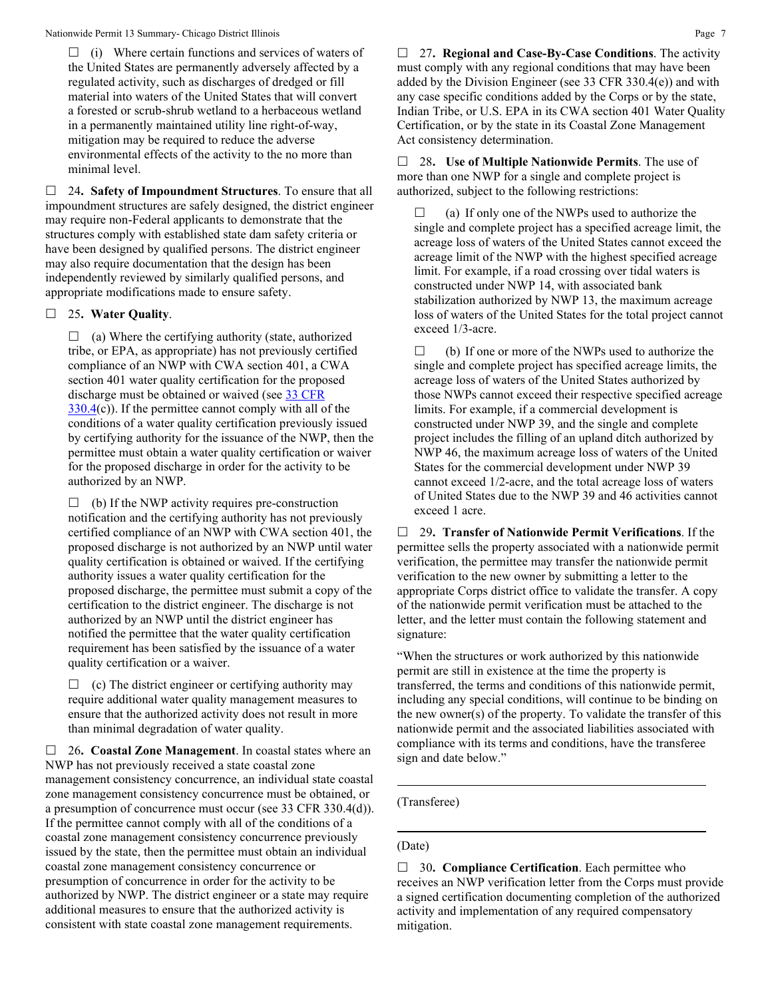$\Box$  (i) Where certain functions and services of waters of the United States are permanently adversely affected by a regulated activity, such as discharges of dredged or fill material into waters of the United States that will convert a forested or scrub-shrub wetland to a herbaceous wetland in a permanently maintained utility line right-of-way, mitigation may be required to reduce the adverse environmental effects of the activity to the no more than minimal level.

 24**. Safety of Impoundment Structures**. To ensure that all impoundment structures are safely designed, the district engineer may require non-Federal applicants to demonstrate that the structures comply with established state dam safety criteria or have been designed by qualified persons. The district engineer may also require documentation that the design has been independently reviewed by similarly qualified persons, and appropriate modifications made to ensure safety.

# 25**. Water Quality**.

 $\Box$  (a) Where the certifying authority (state, authorized tribe, or EPA, as appropriate) has not previously certified compliance of an NWP with CWA section 401, a CWA section 401 water quality certification for the proposed discharge must be obtained or waived (see 33 CFR  $330.4(c)$  $330.4(c)$ ). If the permittee cannot comply with all of the conditions of a water quality certification previously issued by certifying authority for the issuance of the NWP, then the permittee must obtain a water quality certification or waiver for the proposed discharge in order for the activity to be authorized by an NWP.

 $\Box$  (b) If the NWP activity requires pre-construction notification and the certifying authority has not previously certified compliance of an NWP with CWA section 401, the proposed discharge is not authorized by an NWP until water quality certification is obtained or waived. If the certifying authority issues a water quality certification for the proposed discharge, the permittee must submit a copy of the certification to the district engineer. The discharge is not authorized by an NWP until the district engineer has notified the permittee that the water quality certification requirement has been satisfied by the issuance of a water quality certification or a waiver.

 $\Box$  (c) The district engineer or certifying authority may require additional water quality management measures to ensure that the authorized activity does not result in more than minimal degradation of water quality.

 26**. Coastal Zone Management**. In coastal states where an NWP has not previously received a state coastal zone management consistency concurrence, an individual state coastal zone management consistency concurrence must be obtained, or a presumption of concurrence must occur (see 33 CFR 330.4(d)). If the permittee cannot comply with all of the conditions of a coastal zone management consistency concurrence previously issued by the state, then the permittee must obtain an individual coastal zone management consistency concurrence or presumption of concurrence in order for the activity to be authorized by NWP. The district engineer or a state may require additional measures to ensure that the authorized activity is consistent with state coastal zone management requirements.

 27**. Regional and Case-By-Case Conditions**. The activity must comply with any regional conditions that may have been added by the Division Engineer (see 33 CFR 330.4(e)) and with any case specific conditions added by the Corps or by the state, Indian Tribe, or U.S. EPA in its CWA section 401 Water Quality Certification, or by the state in its Coastal Zone Management Act consistency determination.

 28**. Use of Multiple Nationwide Permits**. The use of more than one NWP for a single and complete project is authorized, subject to the following restrictions:

 (a) If only one of the NWPs used to authorize the single and complete project has a specified acreage limit, the acreage loss of waters of the United States cannot exceed the acreage limit of the NWP with the highest specified acreage limit. For example, if a road crossing over tidal waters is constructed under NWP 14, with associated bank stabilization authorized by NWP 13, the maximum acreage loss of waters of the United States for the total project cannot exceed 1/3-acre.

 $\Box$  (b) If one or more of the NWPs used to authorize the single and complete project has specified acreage limits, the acreage loss of waters of the United States authorized by those NWPs cannot exceed their respective specified acreage limits. For example, if a commercial development is constructed under NWP 39, and the single and complete project includes the filling of an upland ditch authorized by NWP 46, the maximum acreage loss of waters of the United States for the commercial development under NWP 39 cannot exceed 1/2-acre, and the total acreage loss of waters of United States due to the NWP 39 and 46 activities cannot exceed 1 acre.

 29**. Transfer of Nationwide Permit Verifications**. If the permittee sells the property associated with a nationwide permit verification, the permittee may transfer the nationwide permit verification to the new owner by submitting a letter to the appropriate Corps district office to validate the transfer. A copy of the nationwide permit verification must be attached to the letter, and the letter must contain the following statement and signature:

"When the structures or work authorized by this nationwide permit are still in existence at the time the property is transferred, the terms and conditions of this nationwide permit, including any special conditions, will continue to be binding on the new owner(s) of the property. To validate the transfer of this nationwide permit and the associated liabilities associated with compliance with its terms and conditions, have the transferee sign and date below."

# (Transferee)

# (Date)

□ 30. **Compliance Certification**. Each permittee who receives an NWP verification letter from the Corps must provide a signed certification documenting completion of the authorized activity and implementation of any required compensatory mitigation.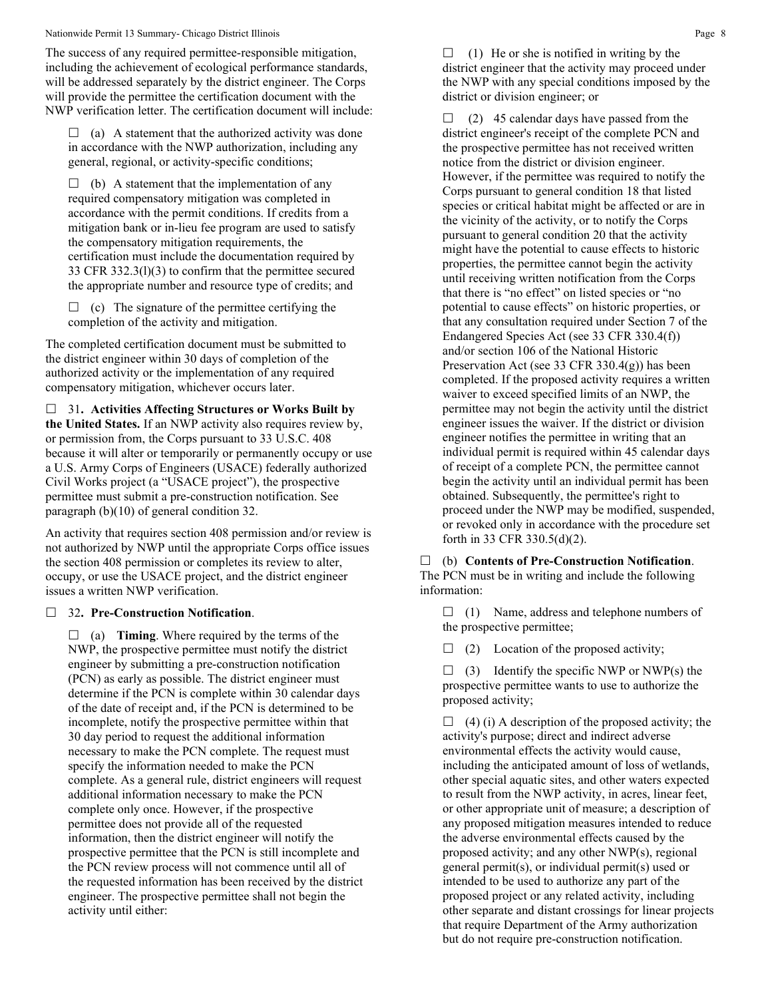The success of any required permittee-responsible mitigation, including the achievement of ecological performance standards, will be addressed separately by the district engineer. The Corps will provide the permittee the certification document with the NWP verification letter. The certification document will include:

 $\Box$  (a) A statement that the authorized activity was done in accordance with the NWP authorization, including any general, regional, or activity-specific conditions;

 $\Box$  (b) A statement that the implementation of any required compensatory mitigation was completed in accordance with the permit conditions. If credits from a mitigation bank or in-lieu fee program are used to satisfy the compensatory mitigation requirements, the certification must include the documentation required by 33 CFR 332.3(l)(3) to confirm that the permittee secured the appropriate number and resource type of credits; and

 $\Box$  (c) The signature of the permittee certifying the completion of the activity and mitigation.

The completed certification document must be submitted to the district engineer within 30 days of completion of the authorized activity or the implementation of any required compensatory mitigation, whichever occurs later.

 31**. Activities Affecting Structures or Works Built by the United States.** If an NWP activity also requires review by, or permission from, the Corps pursuant to 33 U.S.C. 408 because it will alter or temporarily or permanently occupy or use a U.S. Army Corps of Engineers (USACE) federally authorized Civil Works project (a "USACE project"), the prospective permittee must submit a pre-construction notification. See paragraph (b)(10) of general condition 32.

An activity that requires section 408 permission and/or review is not authorized by NWP until the appropriate Corps office issues the section 408 permission or completes its review to alter, occupy, or use the USACE project, and the district engineer issues a written NWP verification.

# 32**. Pre-Construction Notification**.

 $\Box$  (a) **Timing**. Where required by the terms of the NWP, the prospective permittee must notify the district engineer by submitting a pre-construction notification (PCN) as early as possible. The district engineer must determine if the PCN is complete within 30 calendar days of the date of receipt and, if the PCN is determined to be incomplete, notify the prospective permittee within that 30 day period to request the additional information necessary to make the PCN complete. The request must specify the information needed to make the PCN complete. As a general rule, district engineers will request additional information necessary to make the PCN complete only once. However, if the prospective permittee does not provide all of the requested information, then the district engineer will notify the prospective permittee that the PCN is still incomplete and the PCN review process will not commence until all of the requested information has been received by the district engineer. The prospective permittee shall not begin the activity until either:

 $\Box$  (1) He or she is notified in writing by the district engineer that the activity may proceed under the NWP with any special conditions imposed by the district or division engineer; or

 $\Box$  (2) 45 calendar days have passed from the district engineer's receipt of the complete PCN and the prospective permittee has not received written notice from the district or division engineer. However, if the permittee was required to notify the Corps pursuant to general condition 18 that listed species or critical habitat might be affected or are in the vicinity of the activity, or to notify the Corps pursuant to general condition 20 that the activity might have the potential to cause effects to historic properties, the permittee cannot begin the activity until receiving written notification from the Corps that there is "no effect" on listed species or "no potential to cause effects" on historic properties, or that any consultation required under Section 7 of the Endangered Species Act (see 33 CFR 330.4(f)) and/or section 106 of the National Historic Preservation Act (see 33 CFR 330.4(g)) has been completed. If the proposed activity requires a written waiver to exceed specified limits of an NWP, the permittee may not begin the activity until the district engineer issues the waiver. If the district or division engineer notifies the permittee in writing that an individual permit is required within 45 calendar days of receipt of a complete PCN, the permittee cannot begin the activity until an individual permit has been obtained. Subsequently, the permittee's right to proceed under the NWP may be modified, suspended, or revoked only in accordance with the procedure set forth in 33 CFR 330.5(d)(2).

 (b) **Contents of Pre-Construction Notification**. The PCN must be in writing and include the following information:

 $\Box$  (1) Name, address and telephone numbers of the prospective permittee;

 $\Box$  (2) Location of the proposed activity;

 $\Box$  (3) Identify the specific NWP or NWP(s) the prospective permittee wants to use to authorize the proposed activity;

 $\Box$  (4) (i) A description of the proposed activity; the activity's purpose; direct and indirect adverse environmental effects the activity would cause, including the anticipated amount of loss of wetlands, other special aquatic sites, and other waters expected to result from the NWP activity, in acres, linear feet, or other appropriate unit of measure; a description of any proposed mitigation measures intended to reduce the adverse environmental effects caused by the proposed activity; and any other NWP(s), regional general permit(s), or individual permit(s) used or intended to be used to authorize any part of the proposed project or any related activity, including other separate and distant crossings for linear projects that require Department of the Army authorization but do not require pre-construction notification.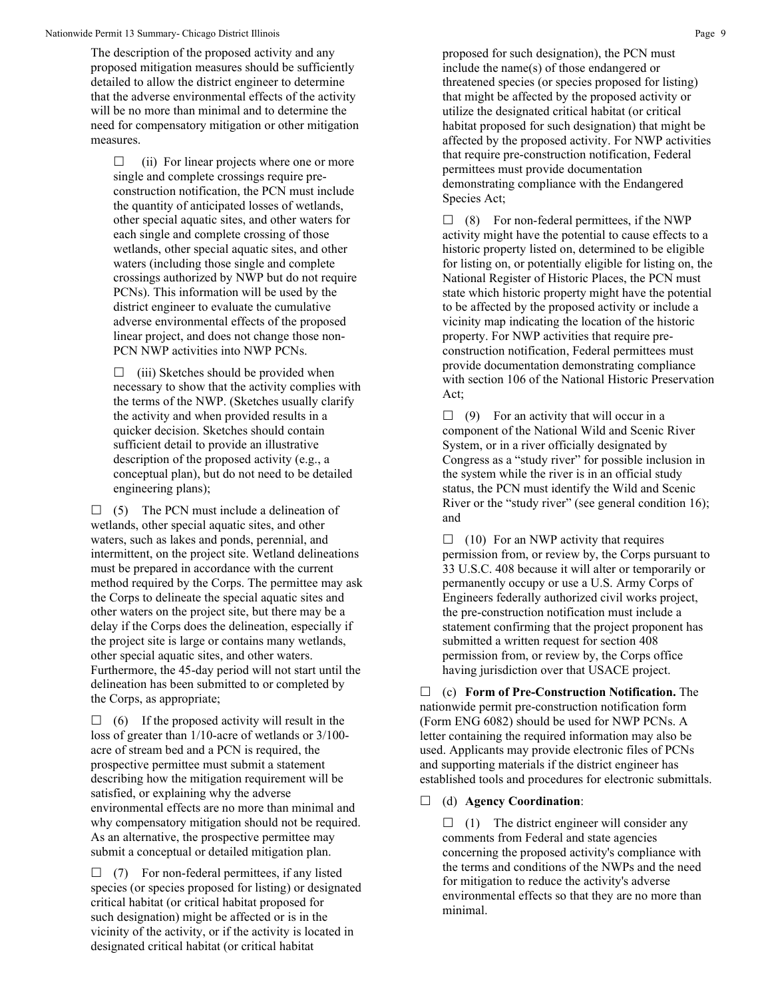The description of the proposed activity and any proposed mitigation measures should be sufficiently detailed to allow the district engineer to determine that the adverse environmental effects of the activity will be no more than minimal and to determine the need for compensatory mitigation or other mitigation measures.

 $\Box$  (ii) For linear projects where one or more single and complete crossings require preconstruction notification, the PCN must include the quantity of anticipated losses of wetlands, other special aquatic sites, and other waters for each single and complete crossing of those wetlands, other special aquatic sites, and other waters (including those single and complete crossings authorized by NWP but do not require PCNs). This information will be used by the district engineer to evaluate the cumulative adverse environmental effects of the proposed linear project, and does not change those non-PCN NWP activities into NWP PCNs.

 $\Box$  (iii) Sketches should be provided when necessary to show that the activity complies with the terms of the NWP. (Sketches usually clarify the activity and when provided results in a quicker decision. Sketches should contain sufficient detail to provide an illustrative description of the proposed activity (e.g., a conceptual plan), but do not need to be detailed engineering plans);

 $\Box$  (5) The PCN must include a delineation of wetlands, other special aquatic sites, and other waters, such as lakes and ponds, perennial, and intermittent, on the project site. Wetland delineations must be prepared in accordance with the current method required by the Corps. The permittee may ask the Corps to delineate the special aquatic sites and other waters on the project site, but there may be a delay if the Corps does the delineation, especially if the project site is large or contains many wetlands, other special aquatic sites, and other waters. Furthermore, the 45-day period will not start until the delineation has been submitted to or completed by the Corps, as appropriate;

 $\Box$  (6) If the proposed activity will result in the loss of greater than 1/10-acre of wetlands or 3/100 acre of stream bed and a PCN is required, the prospective permittee must submit a statement describing how the mitigation requirement will be satisfied, or explaining why the adverse environmental effects are no more than minimal and why compensatory mitigation should not be required. As an alternative, the prospective permittee may submit a conceptual or detailed mitigation plan.

 $\Box$  (7) For non-federal permittees, if any listed species (or species proposed for listing) or designated critical habitat (or critical habitat proposed for such designation) might be affected or is in the vicinity of the activity, or if the activity is located in designated critical habitat (or critical habitat

proposed for such designation), the PCN must include the name(s) of those endangered or threatened species (or species proposed for listing) that might be affected by the proposed activity or utilize the designated critical habitat (or critical habitat proposed for such designation) that might be affected by the proposed activity. For NWP activities that require pre-construction notification, Federal permittees must provide documentation demonstrating compliance with the Endangered Species Act;

 $\Box$  (8) For non-federal permittees, if the NWP activity might have the potential to cause effects to a historic property listed on, determined to be eligible for listing on, or potentially eligible for listing on, the National Register of Historic Places, the PCN must state which historic property might have the potential to be affected by the proposed activity or include a vicinity map indicating the location of the historic property. For NWP activities that require preconstruction notification, Federal permittees must provide documentation demonstrating compliance with section 106 of the National Historic Preservation Act;

 $\Box$  (9) For an activity that will occur in a component of the National Wild and Scenic River System, or in a river officially designated by Congress as a "study river" for possible inclusion in the system while the river is in an official study status, the PCN must identify the Wild and Scenic River or the "study river" (see general condition 16); and

 $\Box$  (10) For an NWP activity that requires permission from, or review by, the Corps pursuant to 33 U.S.C. 408 because it will alter or temporarily or permanently occupy or use a U.S. Army Corps of Engineers federally authorized civil works project, the pre-construction notification must include a statement confirming that the project proponent has submitted a written request for section 408 permission from, or review by, the Corps office having jurisdiction over that USACE project.

 (c) **Form of Pre-Construction Notification.** The nationwide permit pre-construction notification form (Form ENG 6082) should be used for NWP PCNs. A letter containing the required information may also be used. Applicants may provide electronic files of PCNs and supporting materials if the district engineer has established tools and procedures for electronic submittals.

(d) **Agency Coordination**:

 $\Box$  (1) The district engineer will consider any comments from Federal and state agencies concerning the proposed activity's compliance with the terms and conditions of the NWPs and the need for mitigation to reduce the activity's adverse environmental effects so that they are no more than minimal.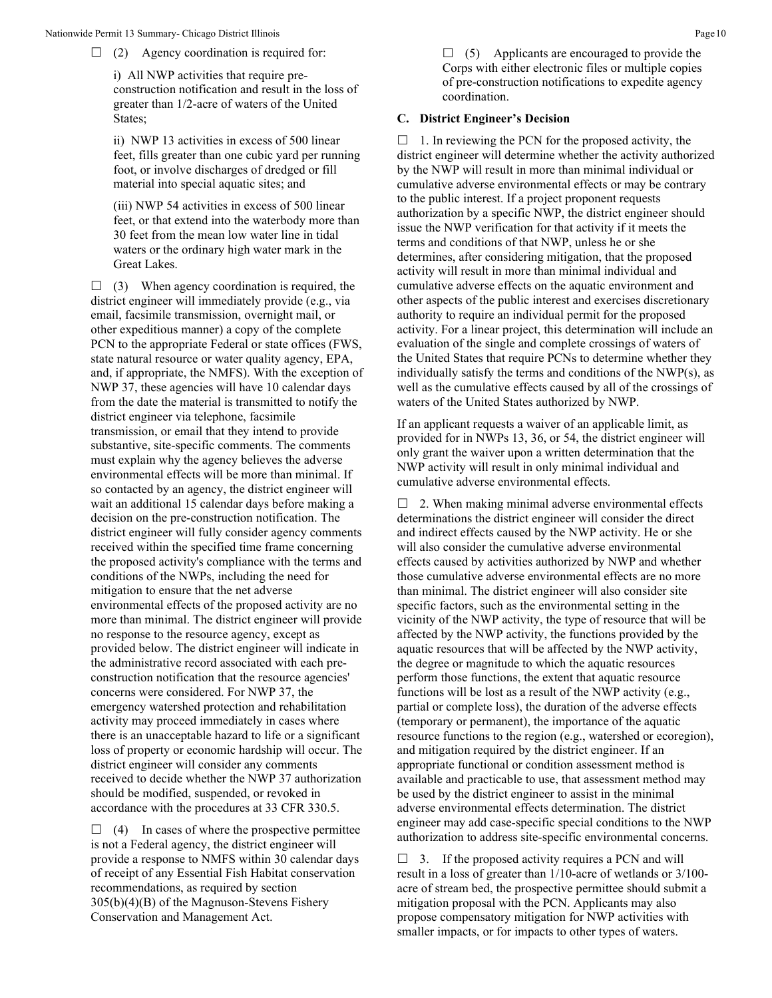$\Box$  (2) Agency coordination is required for:

i) All NWP activities that require preconstruction notification and result in the loss of greater than 1/2-acre of waters of the United States;

ii) NWP 13 activities in excess of 500 linear feet, fills greater than one cubic yard per running foot, or involve discharges of dredged or fill material into special aquatic sites; and

(iii) NWP 54 activities in excess of 500 linear feet, or that extend into the waterbody more than 30 feet from the mean low water line in tidal waters or the ordinary high water mark in the Great Lakes.

 $\Box$  (3) When agency coordination is required, the district engineer will immediately provide (e.g., via email, facsimile transmission, overnight mail, or other expeditious manner) a copy of the complete PCN to the appropriate Federal or state offices (FWS, state natural resource or water quality agency, EPA, and, if appropriate, the NMFS). With the exception of NWP 37, these agencies will have 10 calendar days from the date the material is transmitted to notify the district engineer via telephone, facsimile transmission, or email that they intend to provide substantive, site-specific comments. The comments must explain why the agency believes the adverse environmental effects will be more than minimal. If so contacted by an agency, the district engineer will wait an additional 15 calendar days before making a decision on the pre-construction notification. The district engineer will fully consider agency comments received within the specified time frame concerning the proposed activity's compliance with the terms and conditions of the NWPs, including the need for mitigation to ensure that the net adverse environmental effects of the proposed activity are no more than minimal. The district engineer will provide no response to the resource agency, except as provided below. The district engineer will indicate in the administrative record associated with each preconstruction notification that the resource agencies' concerns were considered. For NWP 37, the emergency watershed protection and rehabilitation activity may proceed immediately in cases where there is an unacceptable hazard to life or a significant loss of property or economic hardship will occur. The district engineer will consider any comments received to decide whether the NWP 37 authorization should be modified, suspended, or revoked in accordance with the procedures at 33 CFR 330.5.

 $\Box$  (4) In cases of where the prospective permittee is not a Federal agency, the district engineer will provide a response to NMFS within 30 calendar days of receipt of any Essential Fish Habitat conservation recommendations, as required by section 305(b)(4)(B) of the Magnuson-Stevens Fishery Conservation and Management Act.

 $\Box$  (5) Applicants are encouraged to provide the Corps with either electronic files or multiple copies of pre-construction notifications to expedite agency coordination.

## **C. District Engineer's Decision**

 $\Box$  1. In reviewing the PCN for the proposed activity, the district engineer will determine whether the activity authorized by the NWP will result in more than minimal individual or cumulative adverse environmental effects or may be contrary to the public interest. If a project proponent requests authorization by a specific NWP, the district engineer should issue the NWP verification for that activity if it meets the terms and conditions of that NWP, unless he or she determines, after considering mitigation, that the proposed activity will result in more than minimal individual and cumulative adverse effects on the aquatic environment and other aspects of the public interest and exercises discretionary authority to require an individual permit for the proposed activity. For a linear project, this determination will include an evaluation of the single and complete crossings of waters of the United States that require PCNs to determine whether they individually satisfy the terms and conditions of the NWP(s), as well as the cumulative effects caused by all of the crossings of waters of the United States authorized by NWP.

If an applicant requests a waiver of an applicable limit, as provided for in NWPs 13, 36, or 54, the district engineer will only grant the waiver upon a written determination that the NWP activity will result in only minimal individual and cumulative adverse environmental effects.

 $\Box$  2. When making minimal adverse environmental effects determinations the district engineer will consider the direct and indirect effects caused by the NWP activity. He or she will also consider the cumulative adverse environmental effects caused by activities authorized by NWP and whether those cumulative adverse environmental effects are no more than minimal. The district engineer will also consider site specific factors, such as the environmental setting in the vicinity of the NWP activity, the type of resource that will be affected by the NWP activity, the functions provided by the aquatic resources that will be affected by the NWP activity, the degree or magnitude to which the aquatic resources perform those functions, the extent that aquatic resource functions will be lost as a result of the NWP activity (e.g., partial or complete loss), the duration of the adverse effects (temporary or permanent), the importance of the aquatic resource functions to the region (e.g., watershed or ecoregion), and mitigation required by the district engineer. If an appropriate functional or condition assessment method is available and practicable to use, that assessment method may be used by the district engineer to assist in the minimal adverse environmental effects determination. The district engineer may add case-specific special conditions to the NWP authorization to address site-specific environmental concerns.

 $\Box$  3. If the proposed activity requires a PCN and will result in a loss of greater than 1/10-acre of wetlands or 3/100 acre of stream bed, the prospective permittee should submit a mitigation proposal with the PCN. Applicants may also propose compensatory mitigation for NWP activities with smaller impacts, or for impacts to other types of waters.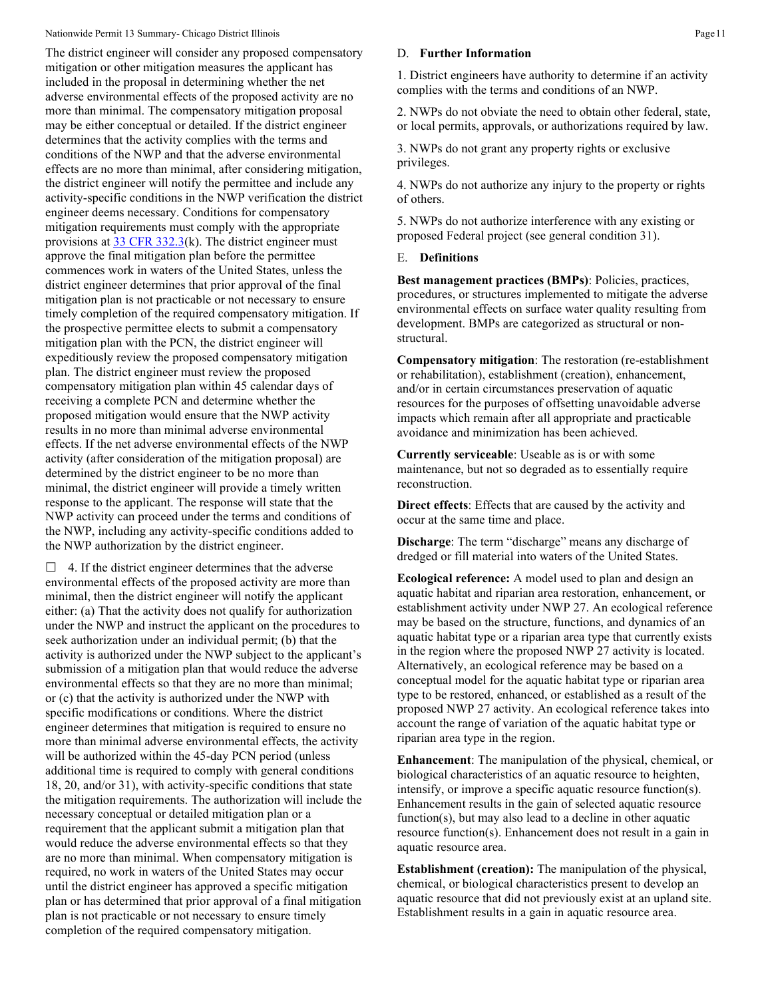The district engineer will consider any proposed compensatory mitigation or other mitigation measures the applicant has included in the proposal in determining whether the net adverse environmental effects of the proposed activity are no more than minimal. The compensatory mitigation proposal may be either conceptual or detailed. If the district engineer determines that the activity complies with the terms and conditions of the NWP and that the adverse environmental effects are no more than minimal, after considering mitigation, the district engineer will notify the permittee and include any activity-specific conditions in the NWP verification the district engineer deems necessary. Conditions for compensatory mitigation requirements must comply with the appropriate provisions at  $33 \text{ CFR } 332.3(k)$ . The district engineer must approve the final mitigation plan before the permittee commences work in waters of the United States, unless the district engineer determines that prior approval of the final mitigation plan is not practicable or not necessary to ensure timely completion of the required compensatory mitigation. If the prospective permittee elects to submit a compensatory mitigation plan with the PCN, the district engineer will expeditiously review the proposed compensatory mitigation plan. The district engineer must review the proposed compensatory mitigation plan within 45 calendar days of receiving a complete PCN and determine whether the proposed mitigation would ensure that the NWP activity results in no more than minimal adverse environmental effects. If the net adverse environmental effects of the NWP activity (after consideration of the mitigation proposal) are determined by the district engineer to be no more than minimal, the district engineer will provide a timely written response to the applicant. The response will state that the NWP activity can proceed under the terms and conditions of the NWP, including any activity-specific conditions added to the NWP authorization by the district engineer.

 $\Box$  4. If the district engineer determines that the adverse environmental effects of the proposed activity are more than minimal, then the district engineer will notify the applicant either: (a) That the activity does not qualify for authorization under the NWP and instruct the applicant on the procedures to seek authorization under an individual permit; (b) that the activity is authorized under the NWP subject to the applicant's submission of a mitigation plan that would reduce the adverse environmental effects so that they are no more than minimal; or (c) that the activity is authorized under the NWP with specific modifications or conditions. Where the district engineer determines that mitigation is required to ensure no more than minimal adverse environmental effects, the activity will be authorized within the 45-day PCN period (unless additional time is required to comply with general conditions 18, 20, and/or 31), with activity-specific conditions that state the mitigation requirements. The authorization will include the necessary conceptual or detailed mitigation plan or a requirement that the applicant submit a mitigation plan that would reduce the adverse environmental effects so that they are no more than minimal. When compensatory mitigation is required, no work in waters of the United States may occur until the district engineer has approved a specific mitigation plan or has determined that prior approval of a final mitigation plan is not practicable or not necessary to ensure timely completion of the required compensatory mitigation.

## D. **Further Information**

1. District engineers have authority to determine if an activity complies with the terms and conditions of an NWP.

2. NWPs do not obviate the need to obtain other federal, state, or local permits, approvals, or authorizations required by law.

3. NWPs do not grant any property rights or exclusive privileges.

4. NWPs do not authorize any injury to the property or rights of others.

5. NWPs do not authorize interference with any existing or proposed Federal project (see general condition 31).

#### E. **Definitions**

**Best management practices (BMPs)**: Policies, practices, procedures, or structures implemented to mitigate the adverse environmental effects on surface water quality resulting from development. BMPs are categorized as structural or nonstructural.

**Compensatory mitigation**: The restoration (re-establishment or rehabilitation), establishment (creation), enhancement, and/or in certain circumstances preservation of aquatic resources for the purposes of offsetting unavoidable adverse impacts which remain after all appropriate and practicable avoidance and minimization has been achieved.

**Currently serviceable**: Useable as is or with some maintenance, but not so degraded as to essentially require reconstruction.

**Direct effects**: Effects that are caused by the activity and occur at the same time and place.

**Discharge:** The term "discharge" means any discharge of dredged or fill material into waters of the United States.

**Ecological reference:** A model used to plan and design an aquatic habitat and riparian area restoration, enhancement, or establishment activity under NWP 27. An ecological reference may be based on the structure, functions, and dynamics of an aquatic habitat type or a riparian area type that currently exists in the region where the proposed NWP 27 activity is located. Alternatively, an ecological reference may be based on a conceptual model for the aquatic habitat type or riparian area type to be restored, enhanced, or established as a result of the proposed NWP 27 activity. An ecological reference takes into account the range of variation of the aquatic habitat type or riparian area type in the region.

**Enhancement**: The manipulation of the physical, chemical, or biological characteristics of an aquatic resource to heighten, intensify, or improve a specific aquatic resource function(s). Enhancement results in the gain of selected aquatic resource function(s), but may also lead to a decline in other aquatic resource function(s). Enhancement does not result in a gain in aquatic resource area.

**Establishment (creation):** The manipulation of the physical, chemical, or biological characteristics present to develop an aquatic resource that did not previously exist at an upland site. Establishment results in a gain in aquatic resource area.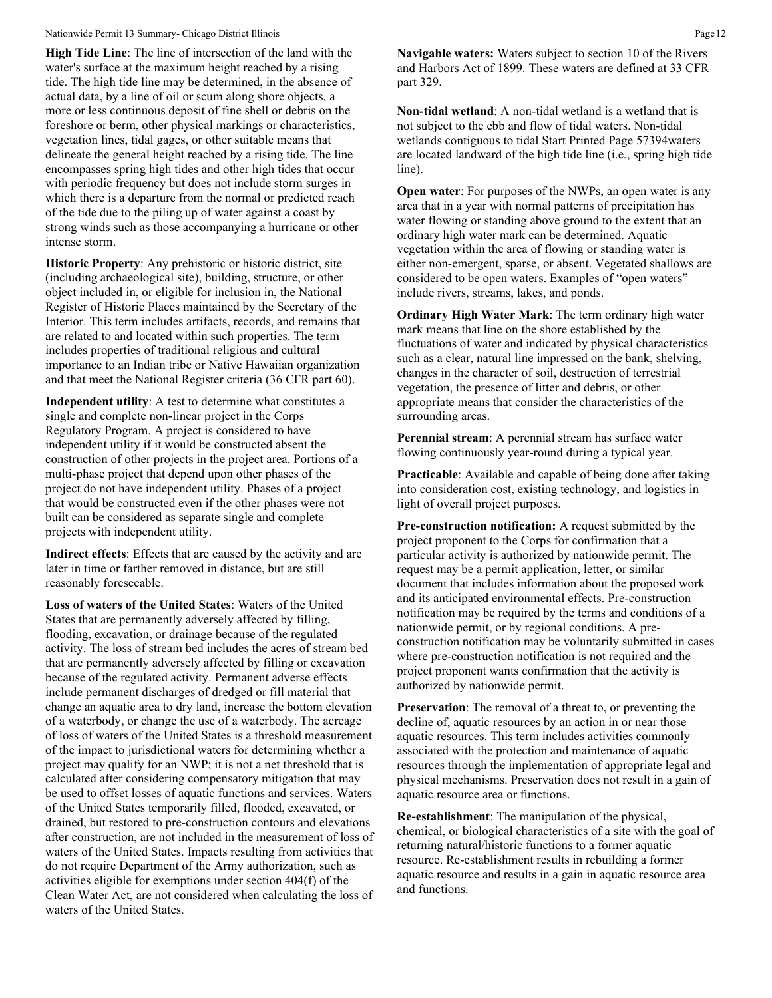**High Tide Line**: The line of intersection of the land with the water's surface at the maximum height reached by a rising tide. The high tide line may be determined, in the absence of actual data, by a line of oil or scum along shore objects, a more or less continuous deposit of fine shell or debris on the foreshore or berm, other physical markings or characteristics, vegetation lines, tidal gages, or other suitable means that delineate the general height reached by a rising tide. The line encompasses spring high tides and other high tides that occur with periodic frequency but does not include storm surges in which there is a departure from the normal or predicted reach of the tide due to the piling up of water against a coast by strong winds such as those accompanying a hurricane or other intense storm.

**Historic Property**: Any prehistoric or historic district, site (including archaeological site), building, structure, or other object included in, or eligible for inclusion in, the National Register of Historic Places maintained by the Secretary of the Interior. This term includes artifacts, records, and remains that are related to and located within such properties. The term includes properties of traditional religious and cultural importance to an Indian tribe or Native Hawaiian organization and that meet the National Register criteria (36 CFR part 60).

**Independent utility**: A test to determine what constitutes a single and complete non-linear project in the Corps Regulatory Program. A project is considered to have independent utility if it would be constructed absent the construction of other projects in the project area. Portions of a multi-phase project that depend upon other phases of the project do not have independent utility. Phases of a project that would be constructed even if the other phases were not built can be considered as separate single and complete projects with independent utility.

**Indirect effects**: Effects that are caused by the activity and are later in time or farther removed in distance, but are still reasonably foreseeable.

**Loss of waters of the United States**: Waters of the United States that are permanently adversely affected by filling, flooding, excavation, or drainage because of the regulated activity. The loss of stream bed includes the acres of stream bed that are permanently adversely affected by filling or excavation because of the regulated activity. Permanent adverse effects include permanent discharges of dredged or fill material that change an aquatic area to dry land, increase the bottom elevation of a waterbody, or change the use of a waterbody. The acreage of loss of waters of the United States is a threshold measurement of the impact to jurisdictional waters for determining whether a project may qualify for an NWP; it is not a net threshold that is calculated after considering compensatory mitigation that may be used to offset losses of aquatic functions and services. Waters of the United States temporarily filled, flooded, excavated, or drained, but restored to pre-construction contours and elevations after construction, are not included in the measurement of loss of waters of the United States. Impacts resulting from activities that do not require Department of the Army authorization, such as activities eligible for exemptions under section 404(f) of the Clean Water Act, are not considered when calculating the loss of waters of the United States.

**Navigable waters:** Waters subject to section 10 of the Rivers and Harbors Act of 1899. These waters are defined at 33 CFR part 329.

**Non-tidal wetland**: A non-tidal wetland is a wetland that is not subject to the ebb and flow of tidal waters. Non-tidal wetlands contiguous to tidal Start Printed Page 57394waters are located landward of the high tide line (i.e., spring high tide line).

**Open water:** For purposes of the NWPs, an open water is any area that in a year with normal patterns of precipitation has water flowing or standing above ground to the extent that an ordinary high water mark can be determined. Aquatic vegetation within the area of flowing or standing water is either non-emergent, sparse, or absent. Vegetated shallows are considered to be open waters. Examples of "open waters" include rivers, streams, lakes, and ponds.

**Ordinary High Water Mark**: The term ordinary high water mark means that line on the shore established by the fluctuations of water and indicated by physical characteristics such as a clear, natural line impressed on the bank, shelving, changes in the character of soil, destruction of terrestrial vegetation, the presence of litter and debris, or other appropriate means that consider the characteristics of the surrounding areas.

**Perennial stream**: A perennial stream has surface water flowing continuously year-round during a typical year.

**Practicable**: Available and capable of being done after taking into consideration cost, existing technology, and logistics in light of overall project purposes.

**Pre-construction notification:** A request submitted by the project proponent to the Corps for confirmation that a particular activity is authorized by nationwide permit. The request may be a permit application, letter, or similar document that includes information about the proposed work and its anticipated environmental effects. Pre-construction notification may be required by the terms and conditions of a nationwide permit, or by regional conditions. A preconstruction notification may be voluntarily submitted in cases where pre-construction notification is not required and the project proponent wants confirmation that the activity is authorized by nationwide permit.

**Preservation**: The removal of a threat to, or preventing the decline of, aquatic resources by an action in or near those aquatic resources. This term includes activities commonly associated with the protection and maintenance of aquatic resources through the implementation of appropriate legal and physical mechanisms. Preservation does not result in a gain of aquatic resource area or functions.

**Re-establishment**: The manipulation of the physical, chemical, or biological characteristics of a site with the goal of returning natural/historic functions to a former aquatic resource. Re-establishment results in rebuilding a former aquatic resource and results in a gain in aquatic resource area and functions.